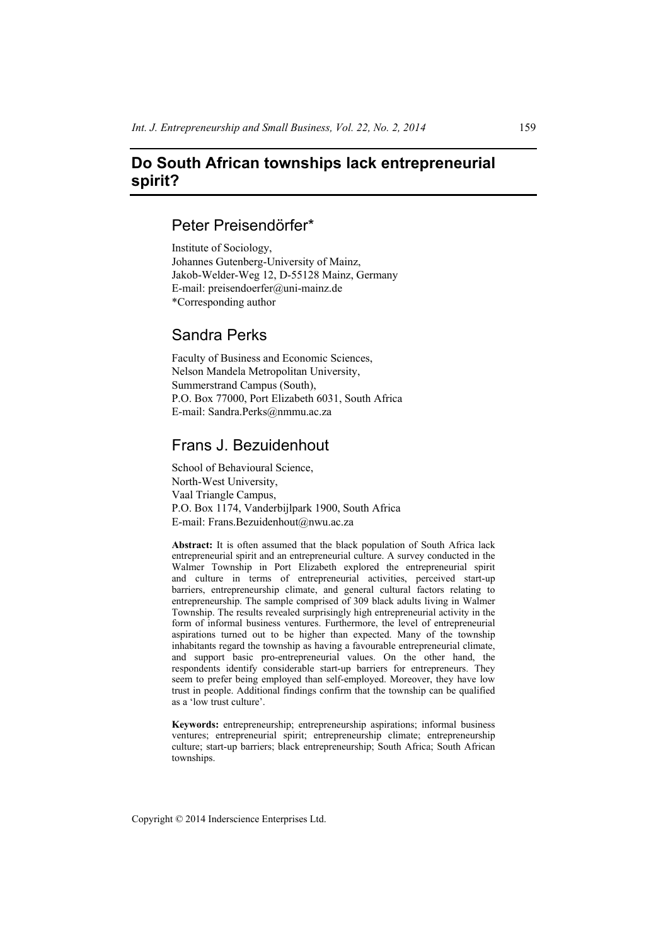# **Do South African townships lack entrepreneurial spirit?**

# Peter Preisendörfer\*

Institute of Sociology, Johannes Gutenberg-University of Mainz, Jakob-Welder-Weg 12, D-55128 Mainz, Germany E-mail: preisendoerfer@uni-mainz.de \*Corresponding author

# Sandra Perks

Faculty of Business and Economic Sciences, Nelson Mandela Metropolitan University, Summerstrand Campus (South), P.O. Box 77000, Port Elizabeth 6031, South Africa E-mail: Sandra.Perks@nmmu.ac.za

# Frans J. Bezuidenhout

School of Behavioural Science, North-West University, Vaal Triangle Campus, P.O. Box 1174, Vanderbijlpark 1900, South Africa E-mail: Frans.Bezuidenhout@nwu.ac.za

**Abstract:** It is often assumed that the black population of South Africa lack entrepreneurial spirit and an entrepreneurial culture. A survey conducted in the Walmer Township in Port Elizabeth explored the entrepreneurial spirit and culture in terms of entrepreneurial activities, perceived start-up barriers, entrepreneurship climate, and general cultural factors relating to entrepreneurship. The sample comprised of 309 black adults living in Walmer Township. The results revealed surprisingly high entrepreneurial activity in the form of informal business ventures. Furthermore, the level of entrepreneurial aspirations turned out to be higher than expected. Many of the township inhabitants regard the township as having a favourable entrepreneurial climate, and support basic pro-entrepreneurial values. On the other hand, the respondents identify considerable start-up barriers for entrepreneurs. They seem to prefer being employed than self-employed. Moreover, they have low trust in people. Additional findings confirm that the township can be qualified as a 'low trust culture'.

**Keywords:** entrepreneurship; entrepreneurship aspirations; informal business ventures; entrepreneurial spirit; entrepreneurship climate; entrepreneurship culture; start-up barriers; black entrepreneurship; South Africa; South African townships.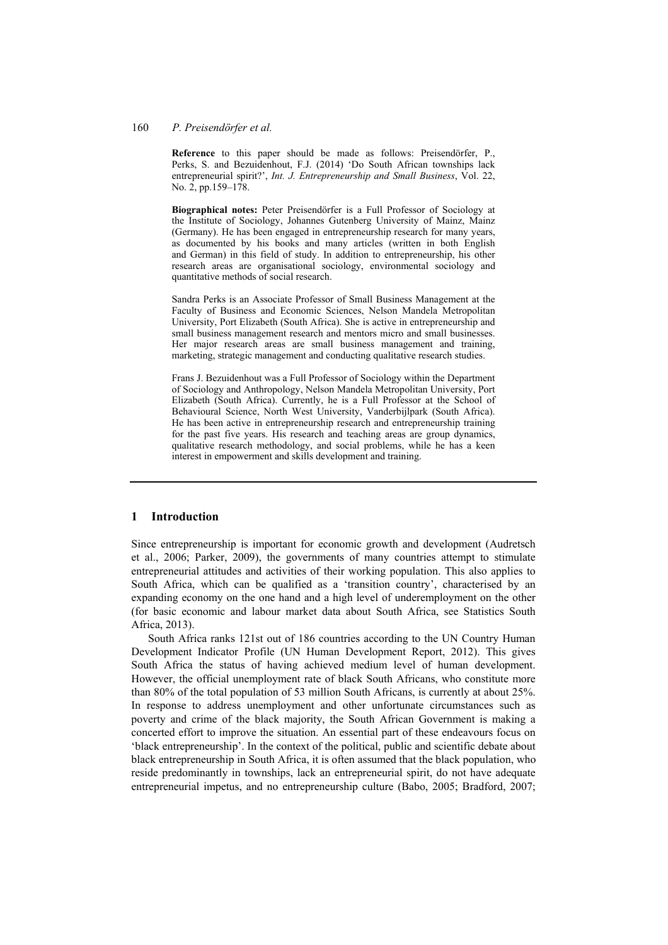**Reference** to this paper should be made as follows: Preisendörfer, P., Perks, S. and Bezuidenhout, F.J. (2014) 'Do South African townships lack entrepreneurial spirit?', *Int. J. Entrepreneurship and Small Business*, Vol. 22, No. 2, pp.159–178.

**Biographical notes:** Peter Preisendörfer is a Full Professor of Sociology at the Institute of Sociology, Johannes Gutenberg University of Mainz, Mainz (Germany). He has been engaged in entrepreneurship research for many years, as documented by his books and many articles (written in both English and German) in this field of study. In addition to entrepreneurship, his other research areas are organisational sociology, environmental sociology and quantitative methods of social research.

Sandra Perks is an Associate Professor of Small Business Management at the Faculty of Business and Economic Sciences, Nelson Mandela Metropolitan University, Port Elizabeth (South Africa). She is active in entrepreneurship and small business management research and mentors micro and small businesses. Her major research areas are small business management and training, marketing, strategic management and conducting qualitative research studies.

Frans J. Bezuidenhout was a Full Professor of Sociology within the Department of Sociology and Anthropology, Nelson Mandela Metropolitan University, Port Elizabeth (South Africa). Currently, he is a Full Professor at the School of Behavioural Science, North West University, Vanderbijlpark (South Africa). He has been active in entrepreneurship research and entrepreneurship training for the past five years. His research and teaching areas are group dynamics, qualitative research methodology, and social problems, while he has a keen interest in empowerment and skills development and training.

#### **1 Introduction**

Since entrepreneurship is important for economic growth and development (Audretsch et al., 2006; Parker, 2009), the governments of many countries attempt to stimulate entrepreneurial attitudes and activities of their working population. This also applies to South Africa, which can be qualified as a 'transition country', characterised by an expanding economy on the one hand and a high level of underemployment on the other (for basic economic and labour market data about South Africa, see Statistics South Africa, 2013).

South Africa ranks 121st out of 186 countries according to the UN Country Human Development Indicator Profile (UN Human Development Report, 2012). This gives South Africa the status of having achieved medium level of human development. However, the official unemployment rate of black South Africans, who constitute more than 80% of the total population of 53 million South Africans, is currently at about 25%. In response to address unemployment and other unfortunate circumstances such as poverty and crime of the black majority, the South African Government is making a concerted effort to improve the situation. An essential part of these endeavours focus on 'black entrepreneurship'. In the context of the political, public and scientific debate about black entrepreneurship in South Africa, it is often assumed that the black population, who reside predominantly in townships, lack an entrepreneurial spirit, do not have adequate entrepreneurial impetus, and no entrepreneurship culture (Babo, 2005; Bradford, 2007;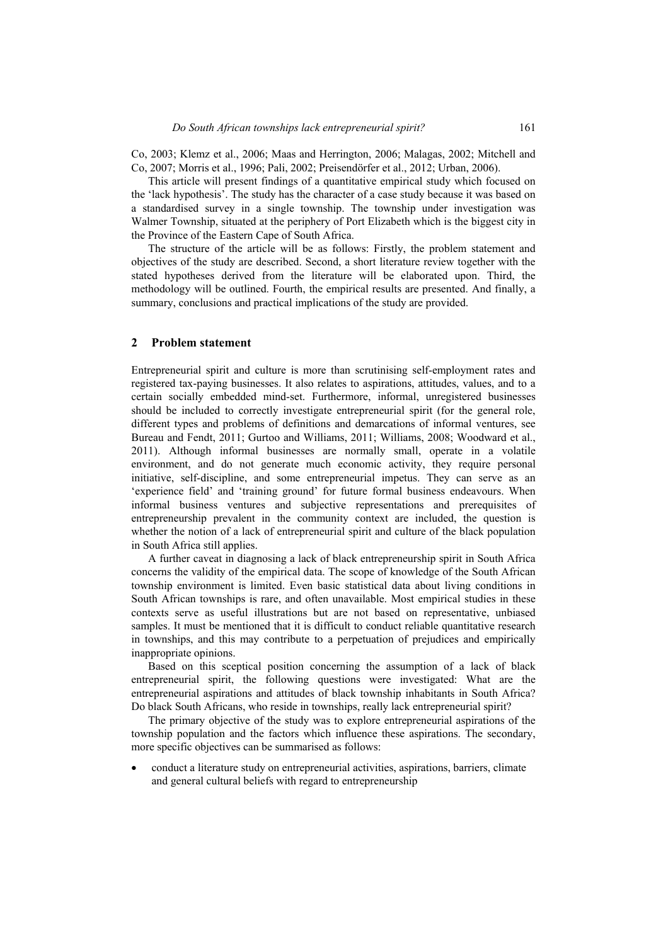Co, 2003; Klemz et al., 2006; Maas and Herrington, 2006; Malagas, 2002; Mitchell and Co, 2007; Morris et al., 1996; Pali, 2002; Preisendörfer et al., 2012; Urban, 2006).

This article will present findings of a quantitative empirical study which focused on the 'lack hypothesis'. The study has the character of a case study because it was based on a standardised survey in a single township. The township under investigation was Walmer Township, situated at the periphery of Port Elizabeth which is the biggest city in the Province of the Eastern Cape of South Africa.

The structure of the article will be as follows: Firstly, the problem statement and objectives of the study are described. Second, a short literature review together with the stated hypotheses derived from the literature will be elaborated upon. Third, the methodology will be outlined. Fourth, the empirical results are presented. And finally, a summary, conclusions and practical implications of the study are provided.

#### **2 Problem statement**

Entrepreneurial spirit and culture is more than scrutinising self-employment rates and registered tax-paying businesses. It also relates to aspirations, attitudes, values, and to a certain socially embedded mind-set. Furthermore, informal, unregistered businesses should be included to correctly investigate entrepreneurial spirit (for the general role, different types and problems of definitions and demarcations of informal ventures, see Bureau and Fendt, 2011; Gurtoo and Williams, 2011; Williams, 2008; Woodward et al., 2011). Although informal businesses are normally small, operate in a volatile environment, and do not generate much economic activity, they require personal initiative, self-discipline, and some entrepreneurial impetus. They can serve as an 'experience field' and 'training ground' for future formal business endeavours. When informal business ventures and subjective representations and prerequisites of entrepreneurship prevalent in the community context are included, the question is whether the notion of a lack of entrepreneurial spirit and culture of the black population in South Africa still applies.

A further caveat in diagnosing a lack of black entrepreneurship spirit in South Africa concerns the validity of the empirical data. The scope of knowledge of the South African township environment is limited. Even basic statistical data about living conditions in South African townships is rare, and often unavailable. Most empirical studies in these contexts serve as useful illustrations but are not based on representative, unbiased samples. It must be mentioned that it is difficult to conduct reliable quantitative research in townships, and this may contribute to a perpetuation of prejudices and empirically inappropriate opinions.

Based on this sceptical position concerning the assumption of a lack of black entrepreneurial spirit, the following questions were investigated: What are the entrepreneurial aspirations and attitudes of black township inhabitants in South Africa? Do black South Africans, who reside in townships, really lack entrepreneurial spirit?

The primary objective of the study was to explore entrepreneurial aspirations of the township population and the factors which influence these aspirations. The secondary, more specific objectives can be summarised as follows:

• conduct a literature study on entrepreneurial activities, aspirations, barriers, climate and general cultural beliefs with regard to entrepreneurship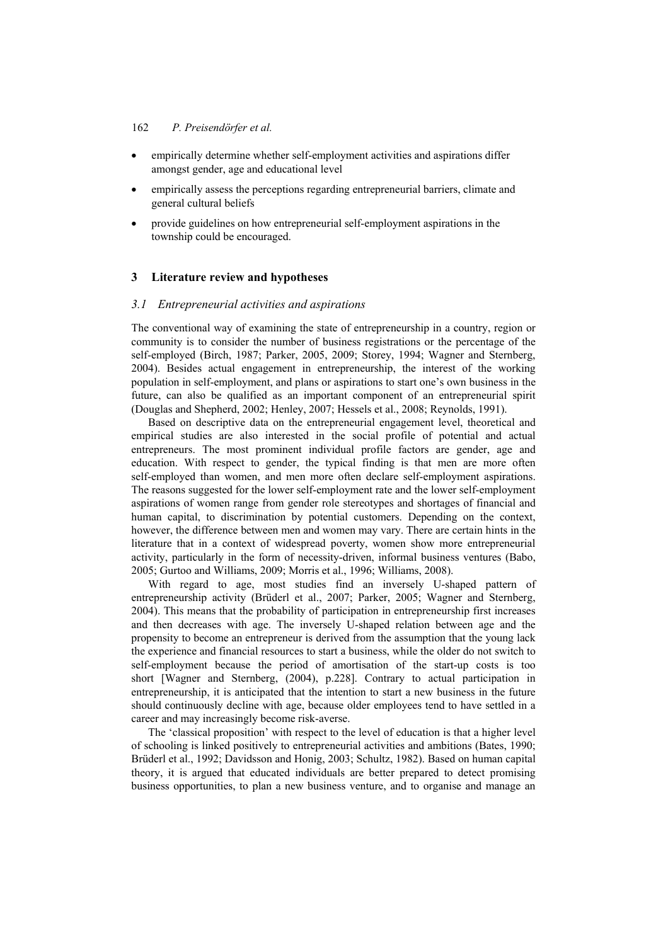- empirically determine whether self-employment activities and aspirations differ amongst gender, age and educational level
- empirically assess the perceptions regarding entrepreneurial barriers, climate and general cultural beliefs
- provide guidelines on how entrepreneurial self-employment aspirations in the township could be encouraged.

### **3 Literature review and hypotheses**

#### *3.1 Entrepreneurial activities and aspirations*

The conventional way of examining the state of entrepreneurship in a country, region or community is to consider the number of business registrations or the percentage of the self-employed (Birch, 1987; Parker, 2005, 2009; Storey, 1994; Wagner and Sternberg, 2004). Besides actual engagement in entrepreneurship, the interest of the working population in self-employment, and plans or aspirations to start one's own business in the future, can also be qualified as an important component of an entrepreneurial spirit (Douglas and Shepherd, 2002; Henley, 2007; Hessels et al., 2008; Reynolds, 1991).

Based on descriptive data on the entrepreneurial engagement level, theoretical and empirical studies are also interested in the social profile of potential and actual entrepreneurs. The most prominent individual profile factors are gender, age and education. With respect to gender, the typical finding is that men are more often self-employed than women, and men more often declare self-employment aspirations. The reasons suggested for the lower self-employment rate and the lower self-employment aspirations of women range from gender role stereotypes and shortages of financial and human capital, to discrimination by potential customers. Depending on the context, however, the difference between men and women may vary. There are certain hints in the literature that in a context of widespread poverty, women show more entrepreneurial activity, particularly in the form of necessity-driven, informal business ventures (Babo, 2005; Gurtoo and Williams, 2009; Morris et al., 1996; Williams, 2008).

With regard to age, most studies find an inversely U-shaped pattern of entrepreneurship activity (Brüderl et al., 2007; Parker, 2005; Wagner and Sternberg, 2004). This means that the probability of participation in entrepreneurship first increases and then decreases with age. The inversely U-shaped relation between age and the propensity to become an entrepreneur is derived from the assumption that the young lack the experience and financial resources to start a business, while the older do not switch to self-employment because the period of amortisation of the start-up costs is too short [Wagner and Sternberg, (2004), p.228]. Contrary to actual participation in entrepreneurship, it is anticipated that the intention to start a new business in the future should continuously decline with age, because older employees tend to have settled in a career and may increasingly become risk-averse.

The 'classical proposition' with respect to the level of education is that a higher level of schooling is linked positively to entrepreneurial activities and ambitions (Bates, 1990; Brüderl et al., 1992; Davidsson and Honig, 2003; Schultz, 1982). Based on human capital theory, it is argued that educated individuals are better prepared to detect promising business opportunities, to plan a new business venture, and to organise and manage an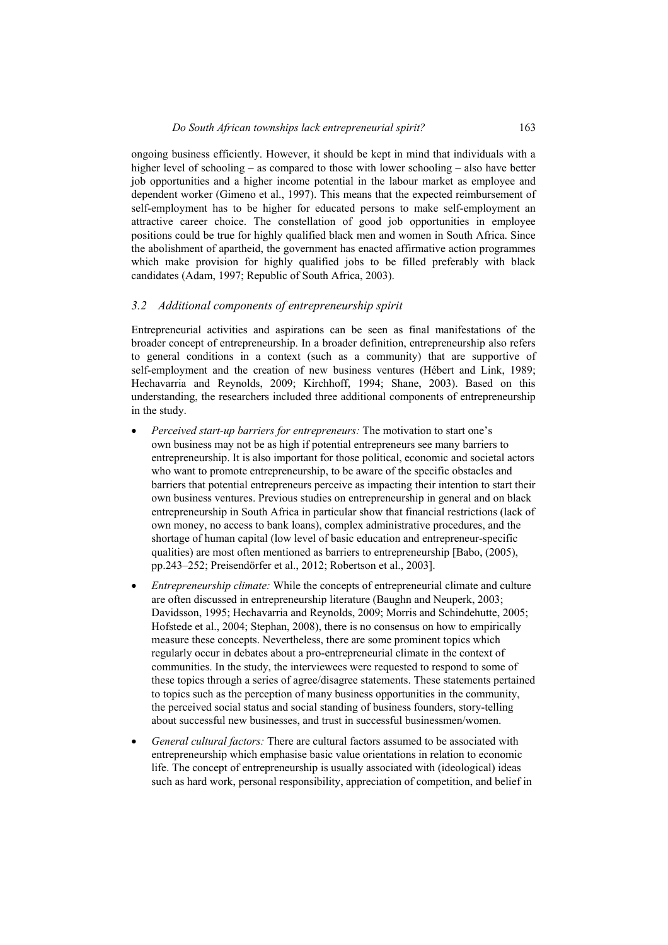ongoing business efficiently. However, it should be kept in mind that individuals with a higher level of schooling – as compared to those with lower schooling – also have better job opportunities and a higher income potential in the labour market as employee and dependent worker (Gimeno et al., 1997). This means that the expected reimbursement of self-employment has to be higher for educated persons to make self-employment an attractive career choice. The constellation of good job opportunities in employee positions could be true for highly qualified black men and women in South Africa. Since the abolishment of apartheid, the government has enacted affirmative action programmes which make provision for highly qualified jobs to be filled preferably with black candidates (Adam, 1997; Republic of South Africa, 2003).

#### *3.2 Additional components of entrepreneurship spirit*

Entrepreneurial activities and aspirations can be seen as final manifestations of the broader concept of entrepreneurship. In a broader definition, entrepreneurship also refers to general conditions in a context (such as a community) that are supportive of self-employment and the creation of new business ventures (Hébert and Link, 1989; Hechavarria and Reynolds, 2009; Kirchhoff, 1994; Shane, 2003). Based on this understanding, the researchers included three additional components of entrepreneurship in the study.

- *Perceived start-up barriers for entrepreneurs:* The motivation to start one's own business may not be as high if potential entrepreneurs see many barriers to entrepreneurship. It is also important for those political, economic and societal actors who want to promote entrepreneurship, to be aware of the specific obstacles and barriers that potential entrepreneurs perceive as impacting their intention to start their own business ventures. Previous studies on entrepreneurship in general and on black entrepreneurship in South Africa in particular show that financial restrictions (lack of own money, no access to bank loans), complex administrative procedures, and the shortage of human capital (low level of basic education and entrepreneur-specific qualities) are most often mentioned as barriers to entrepreneurship [Babo, (2005), pp.243–252; Preisendörfer et al., 2012; Robertson et al., 2003].
- *Entrepreneurship climate:* While the concepts of entrepreneurial climate and culture are often discussed in entrepreneurship literature (Baughn and Neuperk, 2003; Davidsson, 1995; Hechavarria and Reynolds, 2009; Morris and Schindehutte, 2005; Hofstede et al., 2004; Stephan, 2008), there is no consensus on how to empirically measure these concepts. Nevertheless, there are some prominent topics which regularly occur in debates about a pro-entrepreneurial climate in the context of communities. In the study, the interviewees were requested to respond to some of these topics through a series of agree/disagree statements. These statements pertained to topics such as the perception of many business opportunities in the community, the perceived social status and social standing of business founders, story-telling about successful new businesses, and trust in successful businessmen/women.
- *General cultural factors:* There are cultural factors assumed to be associated with entrepreneurship which emphasise basic value orientations in relation to economic life. The concept of entrepreneurship is usually associated with (ideological) ideas such as hard work, personal responsibility, appreciation of competition, and belief in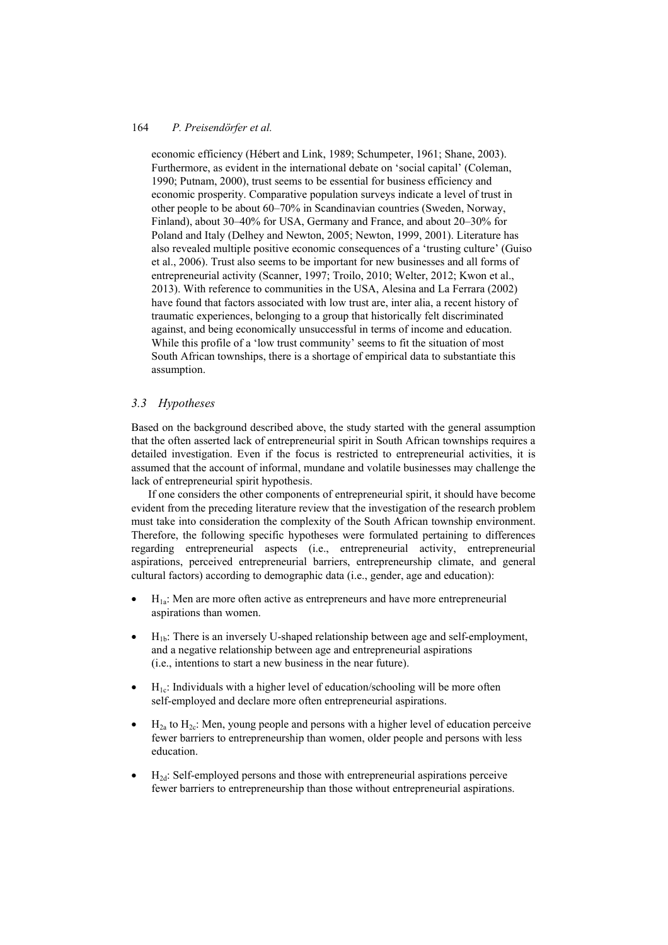economic efficiency (Hébert and Link, 1989; Schumpeter, 1961; Shane, 2003). Furthermore, as evident in the international debate on 'social capital' (Coleman, 1990; Putnam, 2000), trust seems to be essential for business efficiency and economic prosperity. Comparative population surveys indicate a level of trust in other people to be about 60–70% in Scandinavian countries (Sweden, Norway, Finland), about 30–40% for USA, Germany and France, and about 20–30% for Poland and Italy (Delhey and Newton, 2005; Newton, 1999, 2001). Literature has also revealed multiple positive economic consequences of a 'trusting culture' (Guiso et al., 2006). Trust also seems to be important for new businesses and all forms of entrepreneurial activity (Scanner, 1997; Troilo, 2010; Welter, 2012; Kwon et al., 2013). With reference to communities in the USA, Alesina and La Ferrara (2002) have found that factors associated with low trust are, inter alia, a recent history of traumatic experiences, belonging to a group that historically felt discriminated against, and being economically unsuccessful in terms of income and education. While this profile of a 'low trust community' seems to fit the situation of most South African townships, there is a shortage of empirical data to substantiate this assumption.

#### *3.3 Hypotheses*

Based on the background described above, the study started with the general assumption that the often asserted lack of entrepreneurial spirit in South African townships requires a detailed investigation. Even if the focus is restricted to entrepreneurial activities, it is assumed that the account of informal, mundane and volatile businesses may challenge the lack of entrepreneurial spirit hypothesis.

If one considers the other components of entrepreneurial spirit, it should have become evident from the preceding literature review that the investigation of the research problem must take into consideration the complexity of the South African township environment. Therefore, the following specific hypotheses were formulated pertaining to differences regarding entrepreneurial aspects (i.e., entrepreneurial activity, entrepreneurial aspirations, perceived entrepreneurial barriers, entrepreneurship climate, and general cultural factors) according to demographic data (i.e., gender, age and education):

- $H_{1a}$ : Men are more often active as entrepreneurs and have more entrepreneurial aspirations than women.
- $H_{1b}$ : There is an inversely U-shaped relationship between age and self-employment, and a negative relationship between age and entrepreneurial aspirations (i.e., intentions to start a new business in the near future).
- $H<sub>1c</sub>$ : Individuals with a higher level of education/schooling will be more often self-employed and declare more often entrepreneurial aspirations.
- $H_{2a}$  to  $H_{2c}$ : Men, young people and persons with a higher level of education perceive fewer barriers to entrepreneurship than women, older people and persons with less education.
- $H_{2d}$ : Self-employed persons and those with entrepreneurial aspirations perceive fewer barriers to entrepreneurship than those without entrepreneurial aspirations.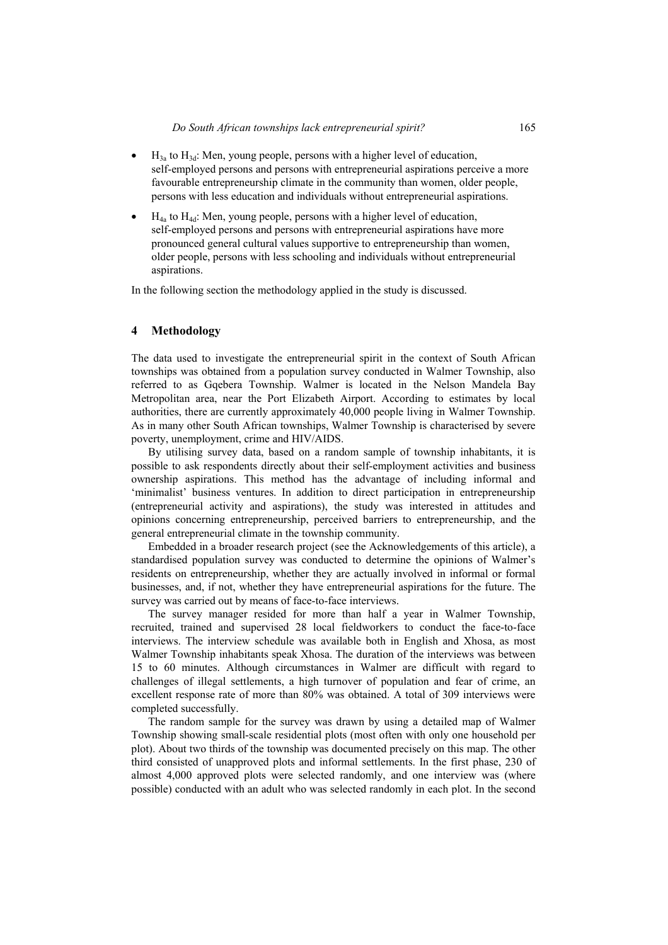- $H_{3a}$  to  $H_{3d}$ : Men, young people, persons with a higher level of education, self-employed persons and persons with entrepreneurial aspirations perceive a more favourable entrepreneurship climate in the community than women, older people, persons with less education and individuals without entrepreneurial aspirations.
- $H_{4a}$  to  $H_{4d}$ : Men, young people, persons with a higher level of education, self-employed persons and persons with entrepreneurial aspirations have more pronounced general cultural values supportive to entrepreneurship than women, older people, persons with less schooling and individuals without entrepreneurial aspirations.

In the following section the methodology applied in the study is discussed.

### **4 Methodology**

The data used to investigate the entrepreneurial spirit in the context of South African townships was obtained from a population survey conducted in Walmer Township, also referred to as Gqebera Township. Walmer is located in the Nelson Mandela Bay Metropolitan area, near the Port Elizabeth Airport. According to estimates by local authorities, there are currently approximately 40,000 people living in Walmer Township. As in many other South African townships, Walmer Township is characterised by severe poverty, unemployment, crime and HIV/AIDS.

By utilising survey data, based on a random sample of township inhabitants, it is possible to ask respondents directly about their self-employment activities and business ownership aspirations. This method has the advantage of including informal and 'minimalist' business ventures. In addition to direct participation in entrepreneurship (entrepreneurial activity and aspirations), the study was interested in attitudes and opinions concerning entrepreneurship, perceived barriers to entrepreneurship, and the general entrepreneurial climate in the township community.

Embedded in a broader research project (see the Acknowledgements of this article), a standardised population survey was conducted to determine the opinions of Walmer's residents on entrepreneurship, whether they are actually involved in informal or formal businesses, and, if not, whether they have entrepreneurial aspirations for the future. The survey was carried out by means of face-to-face interviews.

The survey manager resided for more than half a year in Walmer Township, recruited, trained and supervised 28 local fieldworkers to conduct the face-to-face interviews. The interview schedule was available both in English and Xhosa, as most Walmer Township inhabitants speak Xhosa. The duration of the interviews was between 15 to 60 minutes. Although circumstances in Walmer are difficult with regard to challenges of illegal settlements, a high turnover of population and fear of crime, an excellent response rate of more than 80% was obtained. A total of 309 interviews were completed successfully.

The random sample for the survey was drawn by using a detailed map of Walmer Township showing small-scale residential plots (most often with only one household per plot). About two thirds of the township was documented precisely on this map. The other third consisted of unapproved plots and informal settlements. In the first phase, 230 of almost 4,000 approved plots were selected randomly, and one interview was (where possible) conducted with an adult who was selected randomly in each plot. In the second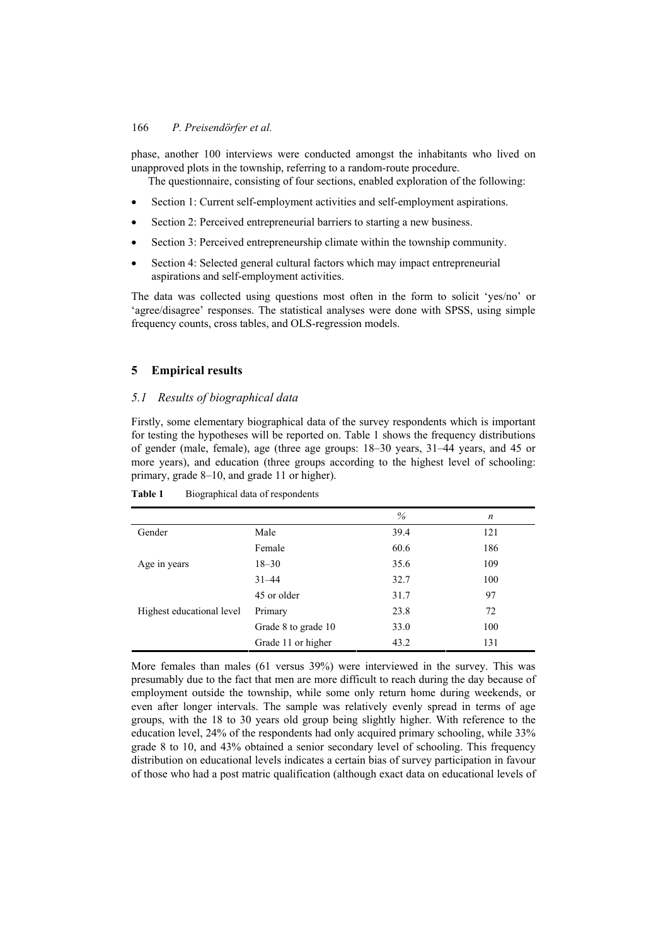phase, another 100 interviews were conducted amongst the inhabitants who lived on unapproved plots in the township, referring to a random-route procedure.

The questionnaire, consisting of four sections, enabled exploration of the following:

- Section 1: Current self-employment activities and self-employment aspirations.
- Section 2: Perceived entrepreneurial barriers to starting a new business.
- Section 3: Perceived entrepreneurship climate within the township community.
- Section 4: Selected general cultural factors which may impact entrepreneurial aspirations and self-employment activities.

The data was collected using questions most often in the form to solicit 'yes/no' or 'agree/disagree' responses. The statistical analyses were done with SPSS, using simple frequency counts, cross tables, and OLS-regression models.

### **5 Empirical results**

#### *5.1 Results of biographical data*

Firstly, some elementary biographical data of the survey respondents which is important for testing the hypotheses will be reported on. Table 1 shows the frequency distributions of gender (male, female), age (three age groups: 18–30 years, 31–44 years, and 45 or more years), and education (three groups according to the highest level of schooling: primary, grade 8–10, and grade 11 or higher).

|                           |                     | $\%$ | $\boldsymbol{n}$ |
|---------------------------|---------------------|------|------------------|
| Gender                    | Male                | 39.4 | 121              |
|                           | Female              | 60.6 | 186              |
| Age in years              | $18 - 30$           | 35.6 | 109              |
|                           | $31 - 44$           | 32.7 | 100              |
|                           | 45 or older         | 31.7 | 97               |
| Highest educational level | Primary             | 23.8 | 72               |
|                           | Grade 8 to grade 10 | 33.0 | 100              |
|                           | Grade 11 or higher  | 43.2 | 131              |

Table 1 Biographical data of respondents

More females than males (61 versus 39%) were interviewed in the survey. This was presumably due to the fact that men are more difficult to reach during the day because of employment outside the township, while some only return home during weekends, or even after longer intervals. The sample was relatively evenly spread in terms of age groups, with the 18 to 30 years old group being slightly higher. With reference to the education level, 24% of the respondents had only acquired primary schooling, while 33% grade 8 to 10, and 43% obtained a senior secondary level of schooling. This frequency distribution on educational levels indicates a certain bias of survey participation in favour of those who had a post matric qualification (although exact data on educational levels of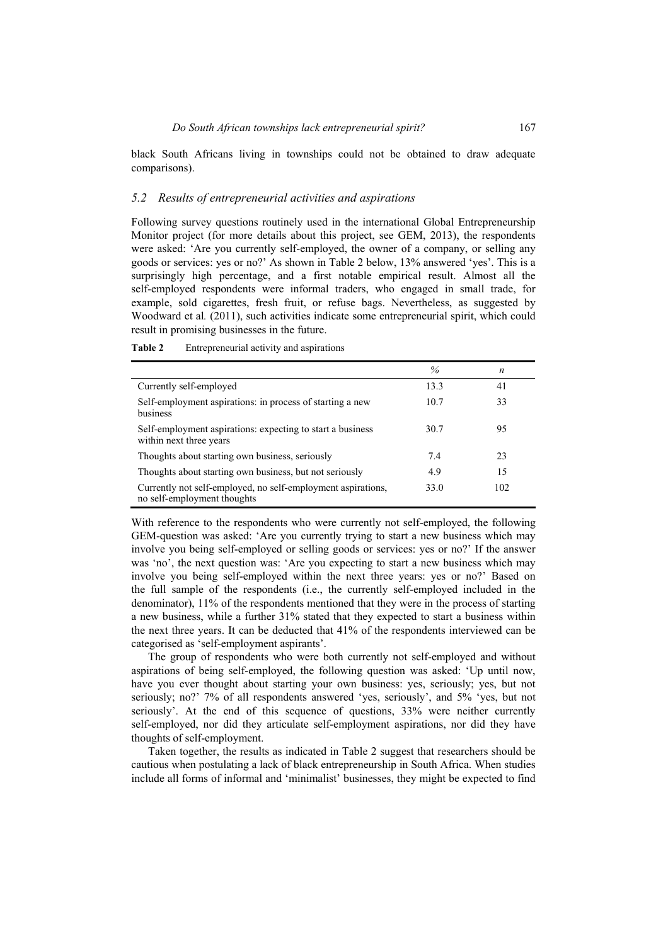black South Africans living in townships could not be obtained to draw adequate comparisons).

#### *5.2 Results of entrepreneurial activities and aspirations*

Following survey questions routinely used in the international Global Entrepreneurship Monitor project (for more details about this project, see GEM, 2013), the respondents were asked: 'Are you currently self-employed, the owner of a company, or selling any goods or services: yes or no?' As shown in Table 2 below, 13% answered 'yes'. This is a surprisingly high percentage, and a first notable empirical result. Almost all the self-employed respondents were informal traders, who engaged in small trade, for example, sold cigarettes, fresh fruit, or refuse bags. Nevertheless, as suggested by Woodward et al*.* (2011), such activities indicate some entrepreneurial spirit, which could result in promising businesses in the future.

**Table 2** Entrepreneurial activity and aspirations

|                                                                                             | $\frac{0}{0}$ | n   |
|---------------------------------------------------------------------------------------------|---------------|-----|
| Currently self-employed                                                                     | 13.3          | 41  |
| Self-employment aspirations: in process of starting a new<br>business                       | 10.7          | 33  |
| Self-employment aspirations: expecting to start a business<br>within next three years       | 30.7          | 95  |
| Thoughts about starting own business, seriously                                             | 7.4           | 23  |
| Thoughts about starting own business, but not seriously                                     | 4.9           | 15  |
| Currently not self-employed, no self-employment aspirations,<br>no self-employment thoughts | 33.0          | 102 |

With reference to the respondents who were currently not self-employed, the following GEM-question was asked: 'Are you currently trying to start a new business which may involve you being self-employed or selling goods or services: yes or no?' If the answer was 'no', the next question was: 'Are you expecting to start a new business which may involve you being self-employed within the next three years: yes or no?' Based on the full sample of the respondents (i.e., the currently self-employed included in the denominator), 11% of the respondents mentioned that they were in the process of starting a new business, while a further 31% stated that they expected to start a business within the next three years. It can be deducted that 41% of the respondents interviewed can be categorised as 'self-employment aspirants'.

The group of respondents who were both currently not self-employed and without aspirations of being self-employed, the following question was asked: 'Up until now, have you ever thought about starting your own business: yes, seriously; yes, but not seriously; no?' 7% of all respondents answered 'yes, seriously', and 5% 'yes, but not seriously'. At the end of this sequence of questions, 33% were neither currently self-employed, nor did they articulate self-employment aspirations, nor did they have thoughts of self-employment.

Taken together, the results as indicated in Table 2 suggest that researchers should be cautious when postulating a lack of black entrepreneurship in South Africa. When studies include all forms of informal and 'minimalist' businesses, they might be expected to find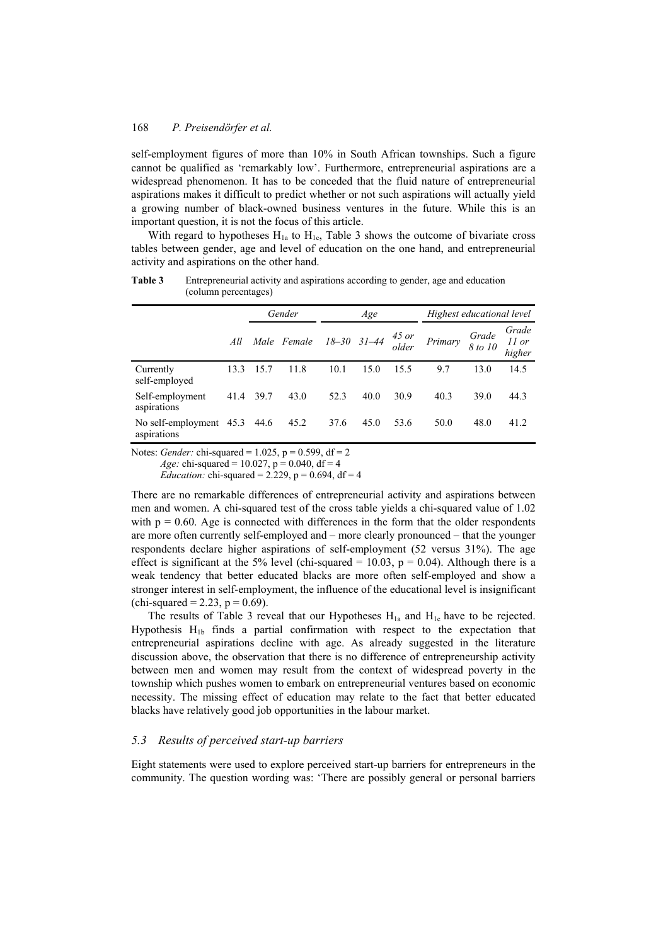self-employment figures of more than 10% in South African townships. Such a figure cannot be qualified as 'remarkably low'. Furthermore, entrepreneurial aspirations are a widespread phenomenon. It has to be conceded that the fluid nature of entrepreneurial aspirations makes it difficult to predict whether or not such aspirations will actually yield a growing number of black-owned business ventures in the future. While this is an important question, it is not the focus of this article.

With regard to hypotheses  $H_{1a}$  to  $H_{1c}$ , Table 3 shows the outcome of bivariate cross tables between gender, age and level of education on the one hand, and entrepreneurial activity and aspirations on the other hand.

**Table 3** Entrepreneurial activity and aspirations according to gender, age and education (column percentages)

|                                        |      | Gender<br>Age |             |      |                     |                  | Highest educational level |                  |                            |
|----------------------------------------|------|---------------|-------------|------|---------------------|------------------|---------------------------|------------------|----------------------------|
|                                        | All  |               | Male Female |      | $18 - 30$ $31 - 44$ | $45$ or<br>older | Primary                   | Grade<br>8 to 10 | Grade<br>$11$ or<br>higher |
| Currently<br>self-employed             | 13.3 | 15.7          | 11.8        | 10.1 | 15.0                | 15.5             | 9.7                       | 13.0             | 14.5                       |
| Self-employment<br>aspirations         | 41.4 | 39.7          | 43.0        | 52.3 | 40.0                | 30.9             | 40.3                      | 39.0             | 44.3                       |
| No self-employment 45.3<br>aspirations |      | 44.6          | 45.2        | 37.6 | 45.0                | 53.6             | 50.0                      | 48.0             | 41.2                       |

Notes: *Gender:* chi-squared = 1.025, p = 0.599, df = 2

*Age:* chi-squared = 10.027,  $p = 0.040$ , df = 4

*Education:* chi-squared =  $2.229$ ,  $p = 0.694$ , df = 4

There are no remarkable differences of entrepreneurial activity and aspirations between men and women. A chi-squared test of the cross table yields a chi-squared value of 1.02 with  $p = 0.60$ . Age is connected with differences in the form that the older respondents are more often currently self-employed and – more clearly pronounced – that the younger respondents declare higher aspirations of self-employment (52 versus 31%). The age effect is significant at the 5% level (chi-squared = 10.03,  $p = 0.04$ ). Although there is a weak tendency that better educated blacks are more often self-employed and show a stronger interest in self-employment, the influence of the educational level is insignificant (chi-squared = 2.23,  $p = 0.69$ ).

The results of Table 3 reveal that our Hypotheses  $H_{1a}$  and  $H_{1c}$  have to be rejected. Hypothesis  $H_{1b}$  finds a partial confirmation with respect to the expectation that entrepreneurial aspirations decline with age. As already suggested in the literature discussion above, the observation that there is no difference of entrepreneurship activity between men and women may result from the context of widespread poverty in the township which pushes women to embark on entrepreneurial ventures based on economic necessity. The missing effect of education may relate to the fact that better educated blacks have relatively good job opportunities in the labour market.

#### *5.3 Results of perceived start-up barriers*

Eight statements were used to explore perceived start-up barriers for entrepreneurs in the community. The question wording was: 'There are possibly general or personal barriers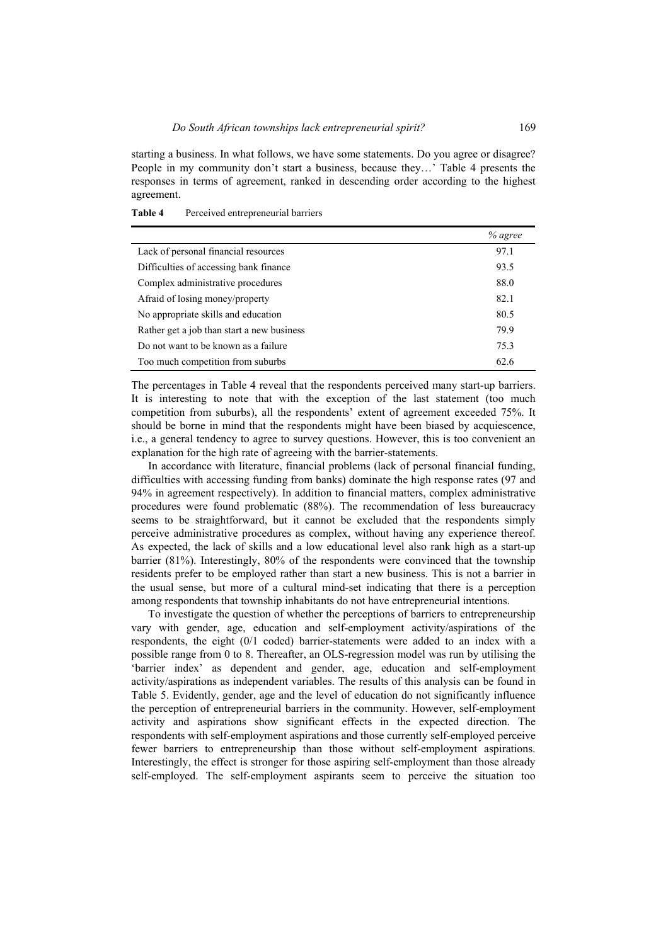starting a business. In what follows, we have some statements. Do you agree or disagree? People in my community don't start a business, because they…' Table 4 presents the responses in terms of agreement, ranked in descending order according to the highest agreement.

**Table 4** Perceived entrepreneurial barriers

|                                            | % agree |
|--------------------------------------------|---------|
| Lack of personal financial resources       | 97.1    |
| Difficulties of accessing bank finance     | 93.5    |
| Complex administrative procedures          | 88.0    |
| Afraid of losing money/property            | 82.1    |
| No appropriate skills and education        | 80.5    |
| Rather get a job than start a new business | 79.9    |
| Do not want to be known as a failure       | 75.3    |
| Too much competition from suburbs          | 62.6    |

The percentages in Table 4 reveal that the respondents perceived many start-up barriers. It is interesting to note that with the exception of the last statement (too much competition from suburbs), all the respondents' extent of agreement exceeded 75%. It should be borne in mind that the respondents might have been biased by acquiescence, i.e., a general tendency to agree to survey questions. However, this is too convenient an explanation for the high rate of agreeing with the barrier-statements.

In accordance with literature, financial problems (lack of personal financial funding, difficulties with accessing funding from banks) dominate the high response rates (97 and 94% in agreement respectively). In addition to financial matters, complex administrative procedures were found problematic (88%). The recommendation of less bureaucracy seems to be straightforward, but it cannot be excluded that the respondents simply perceive administrative procedures as complex, without having any experience thereof. As expected, the lack of skills and a low educational level also rank high as a start-up barrier (81%). Interestingly, 80% of the respondents were convinced that the township residents prefer to be employed rather than start a new business. This is not a barrier in the usual sense, but more of a cultural mind-set indicating that there is a perception among respondents that township inhabitants do not have entrepreneurial intentions.

To investigate the question of whether the perceptions of barriers to entrepreneurship vary with gender, age, education and self-employment activity/aspirations of the respondents, the eight (0/1 coded) barrier-statements were added to an index with a possible range from 0 to 8. Thereafter, an OLS-regression model was run by utilising the 'barrier index' as dependent and gender, age, education and self-employment activity/aspirations as independent variables. The results of this analysis can be found in Table 5. Evidently, gender, age and the level of education do not significantly influence the perception of entrepreneurial barriers in the community. However, self-employment activity and aspirations show significant effects in the expected direction. The respondents with self-employment aspirations and those currently self-employed perceive fewer barriers to entrepreneurship than those without self-employment aspirations. Interestingly, the effect is stronger for those aspiring self-employment than those already self-employed. The self-employment aspirants seem to perceive the situation too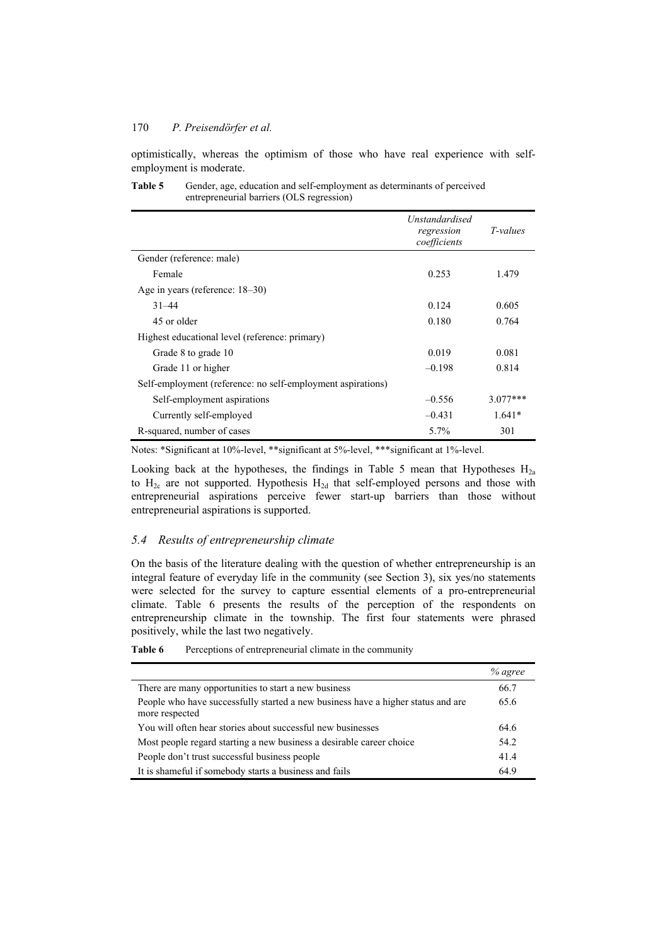optimistically, whereas the optimism of those who have real experience with selfemployment is moderate.

|                                                             | <i>Unstandardised</i><br>regression<br>coefficients | <i>T</i> -values |
|-------------------------------------------------------------|-----------------------------------------------------|------------------|
| Gender (reference: male)                                    |                                                     |                  |
| Female                                                      | 0.253                                               | 1.479            |
| Age in years (reference: 18–30)                             |                                                     |                  |
| $31 - 44$                                                   | 0.124                                               | 0.605            |
| 45 or older                                                 | 0.180                                               | 0.764            |
| Highest educational level (reference: primary)              |                                                     |                  |
| Grade 8 to grade 10                                         | 0.019                                               | 0.081            |
| Grade 11 or higher                                          | $-0.198$                                            | 0.814            |
| Self-employment (reference: no self-employment aspirations) |                                                     |                  |
| Self-employment aspirations                                 | $-0.556$                                            | $3.077***$       |
| Currently self-employed                                     | $-0.431$                                            | $1.641*$         |
| R-squared, number of cases                                  | 5.7%                                                | 301              |

Table 5 Gender, age, education and self-employment as determinants of perceived entrepreneurial barriers (OLS regression)

Notes: \*Significant at 10%-level, \*\*significant at 5%-level, \*\*\*significant at 1%-level.

Looking back at the hypotheses, the findings in Table 5 mean that Hypotheses  $H<sub>2a</sub>$ to  $H_{2c}$  are not supported. Hypothesis  $H_{2d}$  that self-employed persons and those with entrepreneurial aspirations perceive fewer start-up barriers than those without entrepreneurial aspirations is supported.

# *5.4 Results of entrepreneurship climate*

On the basis of the literature dealing with the question of whether entrepreneurship is an integral feature of everyday life in the community (see Section 3), six yes/no statements were selected for the survey to capture essential elements of a pro-entrepreneurial climate. Table 6 presents the results of the perception of the respondents on entrepreneurship climate in the township. The first four statements were phrased positively, while the last two negatively.

| Table 6 | Perceptions of entrepreneurial climate in the community |  |
|---------|---------------------------------------------------------|--|
|         |                                                         |  |

|                                                                                                    | % agree |
|----------------------------------------------------------------------------------------------------|---------|
| There are many opportunities to start a new business                                               | 66.7    |
| People who have successfully started a new business have a higher status and are<br>more respected | 65.6    |
| You will often hear stories about successful new businesses                                        | 64.6    |
| Most people regard starting a new business a desirable career choice                               | 54.2    |
| People don't trust successful business people                                                      | 41.4    |
| It is shameful if somebody starts a business and fails                                             | 64.9    |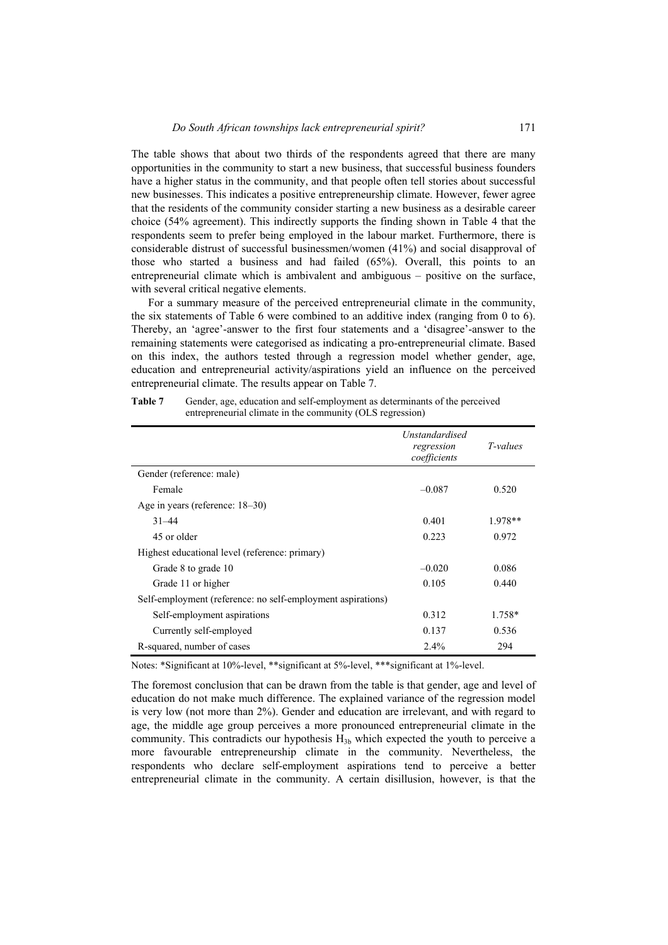The table shows that about two thirds of the respondents agreed that there are many opportunities in the community to start a new business, that successful business founders have a higher status in the community, and that people often tell stories about successful new businesses. This indicates a positive entrepreneurship climate. However, fewer agree that the residents of the community consider starting a new business as a desirable career choice (54% agreement). This indirectly supports the finding shown in Table 4 that the respondents seem to prefer being employed in the labour market. Furthermore, there is considerable distrust of successful businessmen/women (41%) and social disapproval of those who started a business and had failed (65%). Overall, this points to an entrepreneurial climate which is ambivalent and ambiguous – positive on the surface, with several critical negative elements.

For a summary measure of the perceived entrepreneurial climate in the community, the six statements of Table 6 were combined to an additive index (ranging from 0 to 6). Thereby, an 'agree'-answer to the first four statements and a 'disagree'-answer to the remaining statements were categorised as indicating a pro-entrepreneurial climate. Based on this index, the authors tested through a regression model whether gender, age, education and entrepreneurial activity/aspirations yield an influence on the perceived entrepreneurial climate. The results appear on Table 7.

|                                                             | <b>Unstandardised</b><br>regression<br>coefficients | <i>T</i> -values |
|-------------------------------------------------------------|-----------------------------------------------------|------------------|
| Gender (reference: male)                                    |                                                     |                  |
| Female                                                      | $-0.087$                                            | 0.520            |
| Age in years (reference: 18–30)                             |                                                     |                  |
| $31 - 44$                                                   | 0.401                                               | 1.978**          |
| 45 or older                                                 | 0.223                                               | 0.972            |
| Highest educational level (reference: primary)              |                                                     |                  |
| Grade 8 to grade 10                                         | $-0.020$                                            | 0.086            |
| Grade 11 or higher                                          | 0.105                                               | 0.440            |
| Self-employment (reference: no self-employment aspirations) |                                                     |                  |
| Self-employment aspirations                                 | 0.312                                               | 1.758*           |
| Currently self-employed                                     | 0.137                                               | 0.536            |
| R-squared, number of cases                                  | $2.4\%$                                             | 294              |

**Table 7** Gender, age, education and self-employment as determinants of the perceived entrepreneurial climate in the community (OLS regression)

Notes: \*Significant at 10%-level, \*\*significant at 5%-level, \*\*\*significant at 1%-level.

The foremost conclusion that can be drawn from the table is that gender, age and level of education do not make much difference. The explained variance of the regression model is very low (not more than 2%). Gender and education are irrelevant, and with regard to age, the middle age group perceives a more pronounced entrepreneurial climate in the community. This contradicts our hypothesis  $H_{3b}$  which expected the youth to perceive a more favourable entrepreneurship climate in the community. Nevertheless, the respondents who declare self-employment aspirations tend to perceive a better entrepreneurial climate in the community. A certain disillusion, however, is that the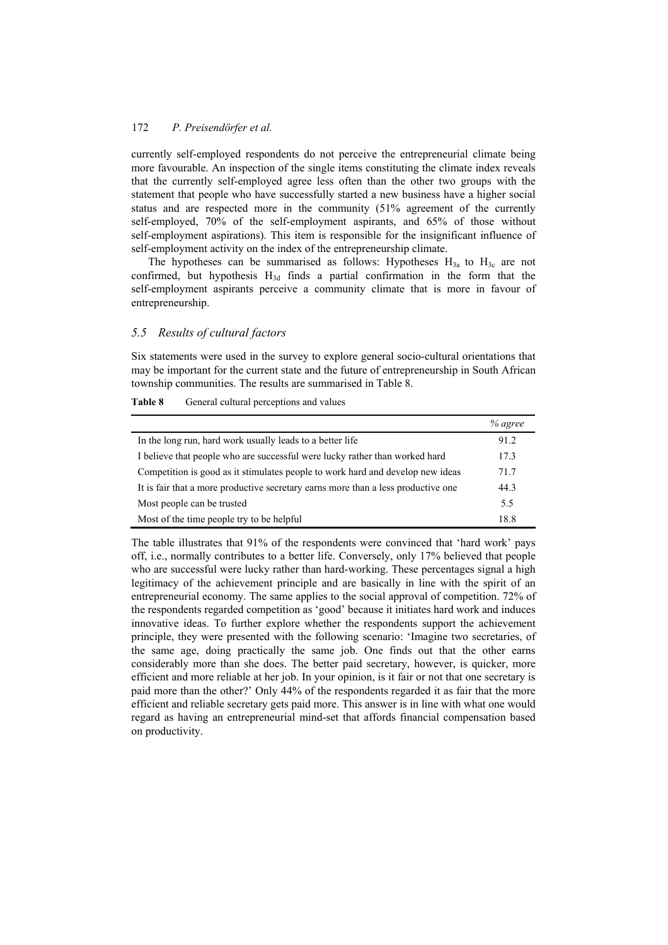currently self-employed respondents do not perceive the entrepreneurial climate being more favourable. An inspection of the single items constituting the climate index reveals that the currently self-employed agree less often than the other two groups with the statement that people who have successfully started a new business have a higher social status and are respected more in the community (51% agreement of the currently self-employed, 70% of the self-employment aspirants, and 65% of those without self-employment aspirations). This item is responsible for the insignificant influence of self-employment activity on the index of the entrepreneurship climate.

The hypotheses can be summarised as follows: Hypotheses  $H_{3a}$  to  $H_{3c}$  are not confirmed, but hypothesis  $H_{3d}$  finds a partial confirmation in the form that the self-employment aspirants perceive a community climate that is more in favour of entrepreneurship.

#### *5.5 Results of cultural factors*

Six statements were used in the survey to explore general socio-cultural orientations that may be important for the current state and the future of entrepreneurship in South African township communities. The results are summarised in Table 8.

| Table 8 |  | General cultural perceptions and values |  |
|---------|--|-----------------------------------------|--|
|---------|--|-----------------------------------------|--|

|                                                                                   | % agree |
|-----------------------------------------------------------------------------------|---------|
| In the long run, hard work usually leads to a better life                         | 91.2    |
| I believe that people who are successful were lucky rather than worked hard       | 17.3    |
| Competition is good as it stimulates people to work hard and develop new ideas    | 71.7    |
| It is fair that a more productive secretary earns more than a less productive one | 44.3    |
| Most people can be trusted                                                        | 5.5     |
| Most of the time people try to be helpful                                         | 18.8    |

The table illustrates that 91% of the respondents were convinced that 'hard work' pays off, i.e., normally contributes to a better life. Conversely, only 17% believed that people who are successful were lucky rather than hard-working. These percentages signal a high legitimacy of the achievement principle and are basically in line with the spirit of an entrepreneurial economy. The same applies to the social approval of competition. 72% of the respondents regarded competition as 'good' because it initiates hard work and induces innovative ideas. To further explore whether the respondents support the achievement principle, they were presented with the following scenario: 'Imagine two secretaries, of the same age, doing practically the same job. One finds out that the other earns considerably more than she does. The better paid secretary, however, is quicker, more efficient and more reliable at her job. In your opinion, is it fair or not that one secretary is paid more than the other?' Only 44% of the respondents regarded it as fair that the more efficient and reliable secretary gets paid more. This answer is in line with what one would regard as having an entrepreneurial mind-set that affords financial compensation based on productivity.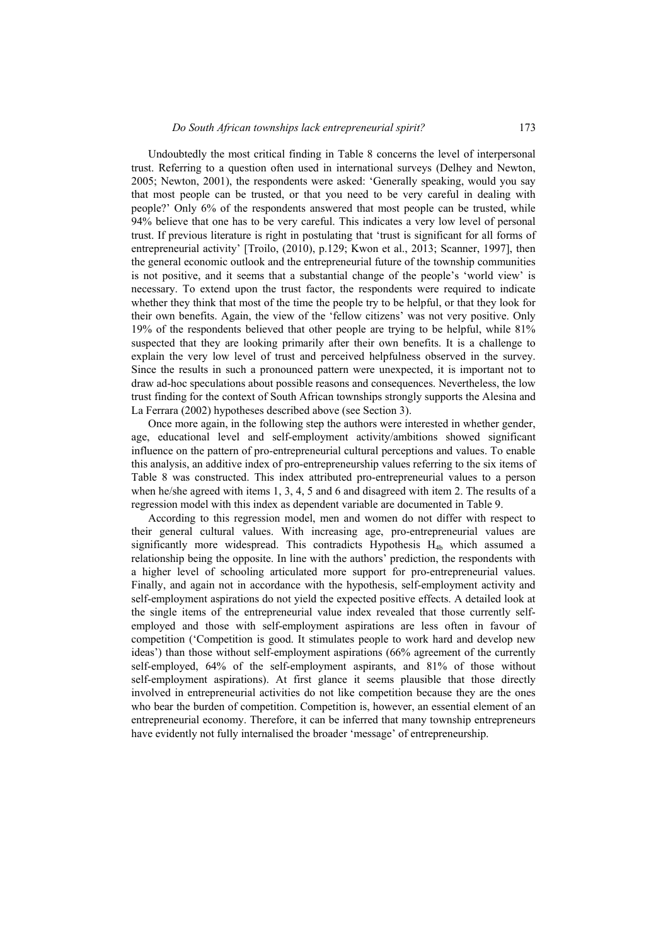Undoubtedly the most critical finding in Table 8 concerns the level of interpersonal trust. Referring to a question often used in international surveys (Delhey and Newton, 2005; Newton, 2001), the respondents were asked: 'Generally speaking, would you say that most people can be trusted, or that you need to be very careful in dealing with people?' Only 6% of the respondents answered that most people can be trusted, while 94% believe that one has to be very careful. This indicates a very low level of personal trust. If previous literature is right in postulating that 'trust is significant for all forms of entrepreneurial activity' [Troilo, (2010), p.129; Kwon et al., 2013; Scanner, 1997], then the general economic outlook and the entrepreneurial future of the township communities is not positive, and it seems that a substantial change of the people's 'world view' is necessary. To extend upon the trust factor, the respondents were required to indicate whether they think that most of the time the people try to be helpful, or that they look for their own benefits. Again, the view of the 'fellow citizens' was not very positive. Only 19% of the respondents believed that other people are trying to be helpful, while 81% suspected that they are looking primarily after their own benefits. It is a challenge to explain the very low level of trust and perceived helpfulness observed in the survey. Since the results in such a pronounced pattern were unexpected, it is important not to draw ad-hoc speculations about possible reasons and consequences. Nevertheless, the low trust finding for the context of South African townships strongly supports the Alesina and La Ferrara (2002) hypotheses described above (see Section 3).

Once more again, in the following step the authors were interested in whether gender, age, educational level and self-employment activity/ambitions showed significant influence on the pattern of pro-entrepreneurial cultural perceptions and values. To enable this analysis, an additive index of pro-entrepreneurship values referring to the six items of Table 8 was constructed. This index attributed pro-entrepreneurial values to a person when he/she agreed with items 1, 3, 4, 5 and 6 and disagreed with item 2. The results of a regression model with this index as dependent variable are documented in Table 9.

According to this regression model, men and women do not differ with respect to their general cultural values. With increasing age, pro-entrepreneurial values are significantly more widespread. This contradicts Hypothesis H<sub>4b</sub> which assumed a relationship being the opposite. In line with the authors' prediction, the respondents with a higher level of schooling articulated more support for pro-entrepreneurial values. Finally, and again not in accordance with the hypothesis, self-employment activity and self-employment aspirations do not yield the expected positive effects. A detailed look at the single items of the entrepreneurial value index revealed that those currently selfemployed and those with self-employment aspirations are less often in favour of competition ('Competition is good. It stimulates people to work hard and develop new ideas') than those without self-employment aspirations (66% agreement of the currently self-employed, 64% of the self-employment aspirants, and 81% of those without self-employment aspirations). At first glance it seems plausible that those directly involved in entrepreneurial activities do not like competition because they are the ones who bear the burden of competition. Competition is, however, an essential element of an entrepreneurial economy. Therefore, it can be inferred that many township entrepreneurs have evidently not fully internalised the broader 'message' of entrepreneurship.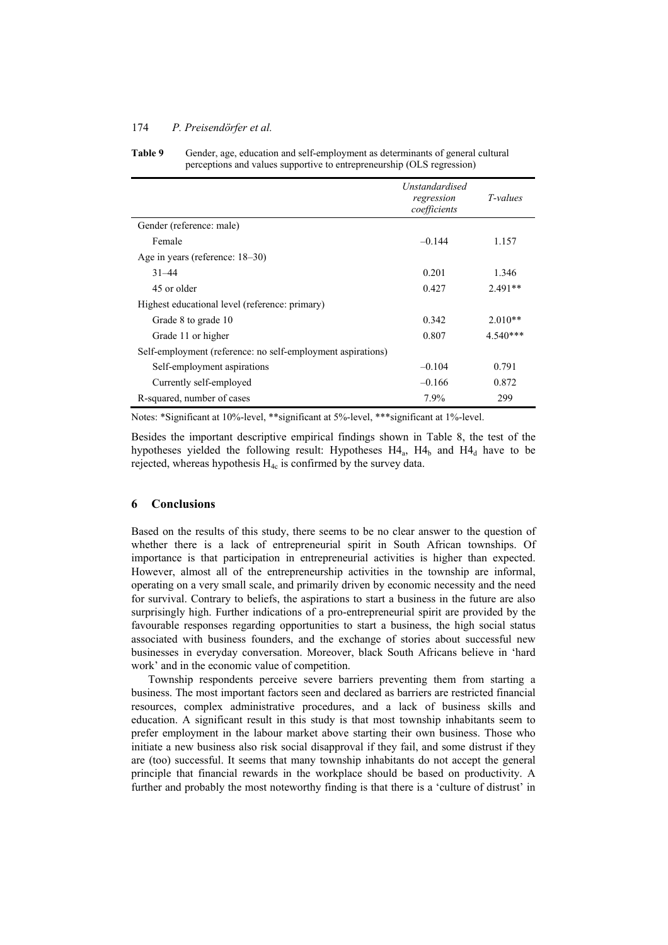| Table 9 | Gender, age, education and self-employment as determinants of general cultural |
|---------|--------------------------------------------------------------------------------|
|         | perceptions and values supportive to entrepreneurship (OLS regression)         |

|                                                             | <b>Unstandardised</b><br>regression<br>coefficients | <i>T-values</i> |
|-------------------------------------------------------------|-----------------------------------------------------|-----------------|
| Gender (reference: male)                                    |                                                     |                 |
| Female                                                      | $-0.144$                                            | 1.157           |
| Age in years (reference: $18-30$ )                          |                                                     |                 |
| $31 - 44$                                                   | 0.201                                               | 1 346           |
| 45 or older                                                 | 0.427                                               | $2.491**$       |
| Highest educational level (reference: primary)              |                                                     |                 |
| Grade 8 to grade 10                                         | 0.342                                               | $2.010**$       |
| Grade 11 or higher                                          | 0.807                                               | $4.540***$      |
| Self-employment (reference: no self-employment aspirations) |                                                     |                 |
| Self-employment aspirations                                 | $-0.104$                                            | 0.791           |
| Currently self-employed                                     | $-0.166$                                            | 0.872           |
| R-squared, number of cases                                  | 7.9%                                                | 299             |

Notes: \*Significant at 10%-level, \*\*significant at 5%-level, \*\*\*significant at 1%-level.

Besides the important descriptive empirical findings shown in Table 8, the test of the hypotheses yielded the following result: Hypotheses  $H4_a$ ,  $H4_b$  and  $H4_d$  have to be rejected, whereas hypothesis  $H_{4c}$  is confirmed by the survey data.

#### **6 Conclusions**

Based on the results of this study, there seems to be no clear answer to the question of whether there is a lack of entrepreneurial spirit in South African townships. Of importance is that participation in entrepreneurial activities is higher than expected. However, almost all of the entrepreneurship activities in the township are informal, operating on a very small scale, and primarily driven by economic necessity and the need for survival. Contrary to beliefs, the aspirations to start a business in the future are also surprisingly high. Further indications of a pro-entrepreneurial spirit are provided by the favourable responses regarding opportunities to start a business, the high social status associated with business founders, and the exchange of stories about successful new businesses in everyday conversation. Moreover, black South Africans believe in 'hard work' and in the economic value of competition.

Township respondents perceive severe barriers preventing them from starting a business. The most important factors seen and declared as barriers are restricted financial resources, complex administrative procedures, and a lack of business skills and education. A significant result in this study is that most township inhabitants seem to prefer employment in the labour market above starting their own business. Those who initiate a new business also risk social disapproval if they fail, and some distrust if they are (too) successful. It seems that many township inhabitants do not accept the general principle that financial rewards in the workplace should be based on productivity. A further and probably the most noteworthy finding is that there is a 'culture of distrust' in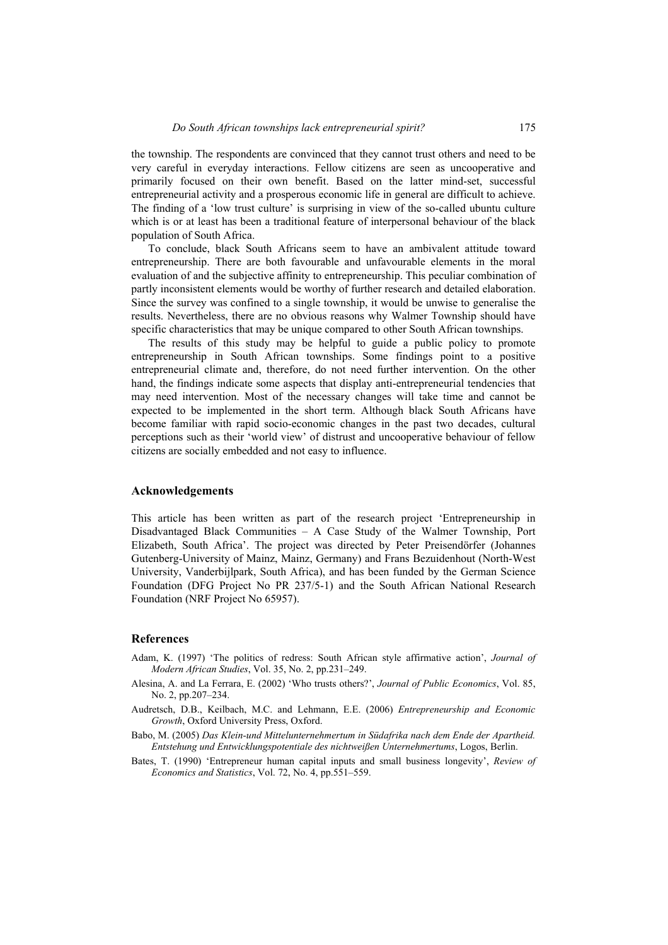the township. The respondents are convinced that they cannot trust others and need to be very careful in everyday interactions. Fellow citizens are seen as uncooperative and primarily focused on their own benefit. Based on the latter mind-set, successful entrepreneurial activity and a prosperous economic life in general are difficult to achieve. The finding of a 'low trust culture' is surprising in view of the so-called ubuntu culture which is or at least has been a traditional feature of interpersonal behaviour of the black population of South Africa.

To conclude, black South Africans seem to have an ambivalent attitude toward entrepreneurship. There are both favourable and unfavourable elements in the moral evaluation of and the subjective affinity to entrepreneurship. This peculiar combination of partly inconsistent elements would be worthy of further research and detailed elaboration. Since the survey was confined to a single township, it would be unwise to generalise the results. Nevertheless, there are no obvious reasons why Walmer Township should have specific characteristics that may be unique compared to other South African townships.

The results of this study may be helpful to guide a public policy to promote entrepreneurship in South African townships. Some findings point to a positive entrepreneurial climate and, therefore, do not need further intervention. On the other hand, the findings indicate some aspects that display anti-entrepreneurial tendencies that may need intervention. Most of the necessary changes will take time and cannot be expected to be implemented in the short term. Although black South Africans have become familiar with rapid socio-economic changes in the past two decades, cultural perceptions such as their 'world view' of distrust and uncooperative behaviour of fellow citizens are socially embedded and not easy to influence.

#### **Acknowledgements**

This article has been written as part of the research project 'Entrepreneurship in Disadvantaged Black Communities – A Case Study of the Walmer Township, Port Elizabeth, South Africa'. The project was directed by Peter Preisendörfer (Johannes Gutenberg-University of Mainz, Mainz, Germany) and Frans Bezuidenhout (North-West University, Vanderbijlpark, South Africa), and has been funded by the German Science Foundation (DFG Project No PR 237/5-1) and the South African National Research Foundation (NRF Project No 65957).

#### **References**

- Adam, K. (1997) 'The politics of redress: South African style affirmative action', *Journal of Modern African Studies*, Vol. 35, No. 2, pp.231–249.
- Alesina, A. and La Ferrara, E. (2002) 'Who trusts others?', *Journal of Public Economics*, Vol. 85, No. 2, pp.207–234.
- Audretsch, D.B., Keilbach, M.C. and Lehmann, E.E. (2006) *Entrepreneurship and Economic Growth*, Oxford University Press, Oxford.
- Babo, M. (2005) *Das Klein-und Mittelunternehmertum in Südafrika nach dem Ende der Apartheid. Entstehung und Entwicklungspotentiale des nichtweißen Unternehmertums*, Logos, Berlin.
- Bates, T. (1990) 'Entrepreneur human capital inputs and small business longevity', *Review of Economics and Statistics*, Vol. 72, No. 4, pp.551–559.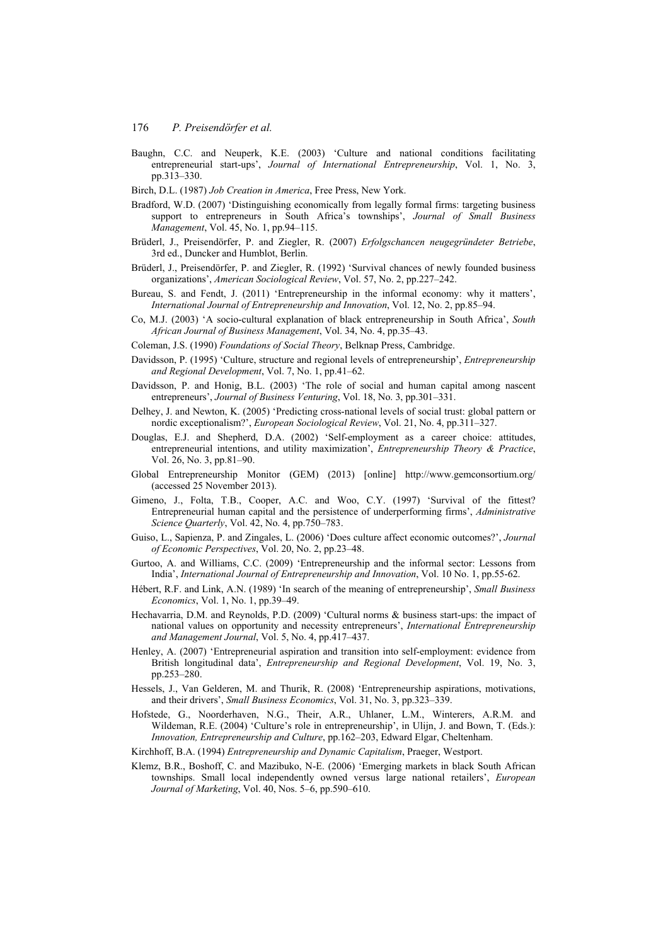- Baughn, C.C. and Neuperk, K.E. (2003) 'Culture and national conditions facilitating entrepreneurial start-ups', *Journal of International Entrepreneurship*, Vol. 1, No. 3, pp.313–330.
- Birch, D.L. (1987) *Job Creation in America*, Free Press, New York.
- Bradford, W.D. (2007) 'Distinguishing economically from legally formal firms: targeting business support to entrepreneurs in South Africa's townships', *Journal of Small Business Management*, Vol. 45, No. 1, pp.94–115.
- Brüderl, J., Preisendörfer, P. and Ziegler, R. (2007) *Erfolgschancen neugegründeter Betriebe*, 3rd ed., Duncker and Humblot, Berlin.
- Brüderl, J., Preisendörfer, P. and Ziegler, R. (1992) 'Survival chances of newly founded business organizations', *American Sociological Review*, Vol. 57, No. 2, pp.227–242.
- Bureau, S. and Fendt, J. (2011) 'Entrepreneurship in the informal economy: why it matters', *International Journal of Entrepreneurship and Innovation*, Vol. 12, No. 2, pp.85–94.
- Co, M.J. (2003) 'A socio-cultural explanation of black entrepreneurship in South Africa', *South African Journal of Business Management*, Vol. 34, No. 4, pp.35–43.
- Coleman, J.S. (1990) *Foundations of Social Theory*, Belknap Press, Cambridge.
- Davidsson, P. (1995) 'Culture, structure and regional levels of entrepreneurship', *Entrepreneurship and Regional Development*, Vol. 7, No. 1, pp.41–62.
- Davidsson, P. and Honig, B.L. (2003) 'The role of social and human capital among nascent entrepreneurs', *Journal of Business Venturing*, Vol. 18, No. 3, pp.301–331.
- Delhey, J. and Newton, K. (2005) 'Predicting cross-national levels of social trust: global pattern or nordic exceptionalism?', *European Sociological Review*, Vol. 21, No. 4, pp.311–327.
- Douglas, E.J. and Shepherd, D.A. (2002) 'Self-employment as a career choice: attitudes, entrepreneurial intentions, and utility maximization', *Entrepreneurship Theory & Practice*, Vol. 26, No. 3, pp.81–90.
- Global Entrepreneurship Monitor (GEM) (2013) [online] http://www.gemconsortium.org/ (accessed 25 November 2013).
- Gimeno, J., Folta, T.B., Cooper, A.C. and Woo, C.Y. (1997) 'Survival of the fittest? Entrepreneurial human capital and the persistence of underperforming firms', *Administrative Science Quarterly*, Vol. 42, No. 4, pp.750–783.
- Guiso, L., Sapienza, P. and Zingales, L. (2006) 'Does culture affect economic outcomes?', *Journal of Economic Perspectives*, Vol. 20, No. 2, pp.23–48.
- Gurtoo, A. and Williams, C.C. (2009) 'Entrepreneurship and the informal sector: Lessons from India', *International Journal of Entrepreneurship and Innovation*, Vol. 10 No. 1, pp.55-62.
- Hébert, R.F. and Link, A.N. (1989) 'In search of the meaning of entrepreneurship', *Small Business Economics*, Vol. 1, No. 1, pp.39–49.
- Hechavarria, D.M. and Reynolds, P.D. (2009) 'Cultural norms & business start-ups: the impact of national values on opportunity and necessity entrepreneurs', *International Entrepreneurship and Management Journal*, Vol. 5, No. 4, pp.417–437.
- Henley, A. (2007) 'Entrepreneurial aspiration and transition into self-employment: evidence from British longitudinal data', *Entrepreneurship and Regional Development*, Vol. 19, No. 3, pp.253–280.
- Hessels, J., Van Gelderen, M. and Thurik, R. (2008) 'Entrepreneurship aspirations, motivations, and their drivers', *Small Business Economics*, Vol. 31, No. 3, pp.323–339.
- Hofstede, G., Noorderhaven, N.G., Their, A.R., Uhlaner, L.M., Winterers, A.R.M. and Wildeman, R.E. (2004) 'Culture's role in entrepreneurship', in Ulijn, J. and Bown, T. (Eds.): *Innovation, Entrepreneurship and Culture*, pp.162–203, Edward Elgar, Cheltenham.
- Kirchhoff, B.A. (1994) *Entrepreneurship and Dynamic Capitalism*, Praeger, Westport.
- Klemz, B.R., Boshoff, C. and Mazibuko, N-E. (2006) 'Emerging markets in black South African townships. Small local independently owned versus large national retailers', *European Journal of Marketing*, Vol. 40, Nos. 5–6, pp.590–610.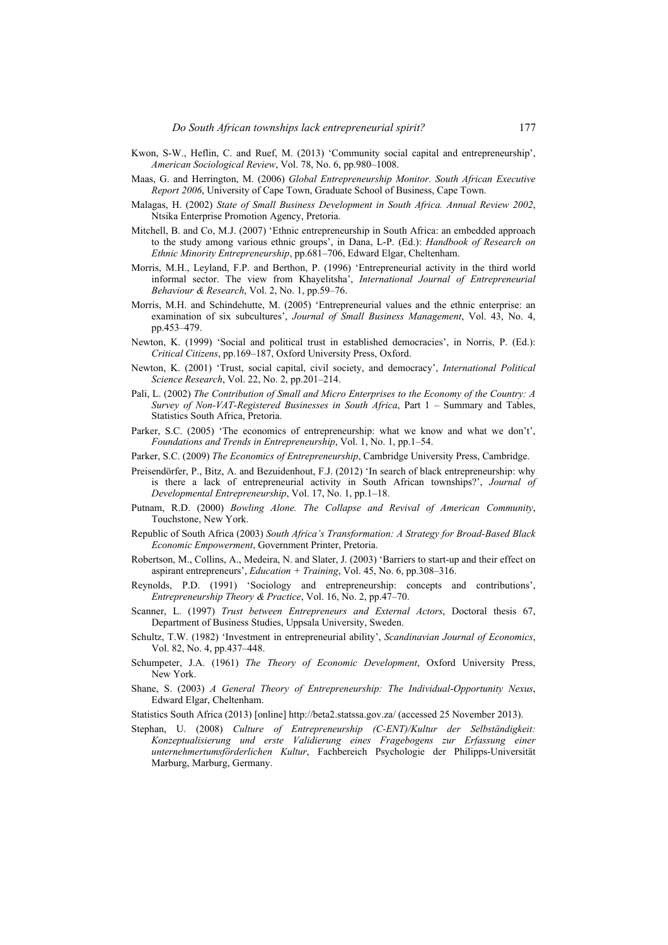- Kwon, S-W., Heflin, C. and Ruef, M. (2013) 'Community social capital and entrepreneurship', *American Sociological Review*, Vol. 78, No. 6, pp.980–1008.
- Maas, G. and Herrington, M. (2006) *Global Entrepreneurship Monitor. South African Executive Report 2006*, University of Cape Town, Graduate School of Business, Cape Town.
- Malagas, H. (2002) *State of Small Business Development in South Africa. Annual Review 2002*, Ntsika Enterprise Promotion Agency, Pretoria.
- Mitchell, B. and Co, M.J. (2007) 'Ethnic entrepreneurship in South Africa: an embedded approach to the study among various ethnic groups', in Dana, L-P. (Ed.): *Handbook of Research on Ethnic Minority Entrepreneurship*, pp.681–706, Edward Elgar, Cheltenham.
- Morris, M.H., Leyland, F.P. and Berthon, P. (1996) 'Entrepreneurial activity in the third world informal sector. The view from Khayelitsha', *International Journal of Entrepreneurial Behaviour & Research*, Vol. 2, No. 1, pp.59–76.
- Morris, M.H. and Schindehutte, M. (2005) 'Entrepreneurial values and the ethnic enterprise: an examination of six subcultures', *Journal of Small Business Management*, Vol. 43, No. 4, pp.453–479.
- Newton, K. (1999) 'Social and political trust in established democracies', in Norris, P. (Ed.): *Critical Citizens*, pp.169–187, Oxford University Press, Oxford.
- Newton, K. (2001) 'Trust, social capital, civil society, and democracy', *International Political Science Research*, Vol. 22, No. 2, pp.201–214.
- Pali, L. (2002) *The Contribution of Small and Micro Enterprises to the Economy of the Country: A Survey of Non-VAT-Registered Businesses in South Africa*, Part 1 – Summary and Tables, Statistics South Africa, Pretoria.
- Parker, S.C. (2005) 'The economics of entrepreneurship: what we know and what we don't', *Foundations and Trends in Entrepreneurship*, Vol. 1, No. 1, pp.1–54.
- Parker, S.C. (2009) *The Economics of Entrepreneurship*, Cambridge University Press, Cambridge.
- Preisendörfer, P., Bitz, A. and Bezuidenhout, F.J. (2012) 'In search of black entrepreneurship: why is there a lack of entrepreneurial activity in South African townships?', *Journal of Developmental Entrepreneurship*, Vol. 17, No. 1, pp.1–18.
- Putnam, R.D. (2000) *Bowling Alone. The Collapse and Revival of American Community*, Touchstone, New York.
- Republic of South Africa (2003) *South Africa's Transformation: A Strategy for Broad-Based Black Economic Empowerment*, Government Printer, Pretoria.
- Robertson, M., Collins, A., Medeira, N. and Slater, J. (2003) 'Barriers to start-up and their effect on aspirant entrepreneurs', *Education + Training*, Vol. 45, No. 6, pp.308–316.
- Reynolds, P.D. (1991) 'Sociology and entrepreneurship: concepts and contributions', *Entrepreneurship Theory & Practice*, Vol. 16, No. 2, pp.47–70.
- Scanner, L. (1997) *Trust between Entrepreneurs and External Actors*, Doctoral thesis 67, Department of Business Studies, Uppsala University, Sweden.
- Schultz, T.W. (1982) 'Investment in entrepreneurial ability', *Scandinavian Journal of Economics*, Vol. 82, No. 4, pp.437–448.
- Schumpeter, J.A. (1961) *The Theory of Economic Development*, Oxford University Press, New York.
- Shane, S. (2003) *A General Theory of Entrepreneurship: The Individual-Opportunity Nexus*, Edward Elgar, Cheltenham.
- Statistics South Africa (2013) [online] http://beta2.statssa.gov.za/ (accessed 25 November 2013).
- Stephan, U. (2008) *Culture of Entrepreneurship (C-ENT)/Kultur der Selbständigkeit: Konzeptualisierung und erste Validierung eines Fragebogens zur Erfassung einer unternehmertumsförderlichen Kultur*, Fachbereich Psychologie der Philipps-Universität Marburg, Marburg, Germany.